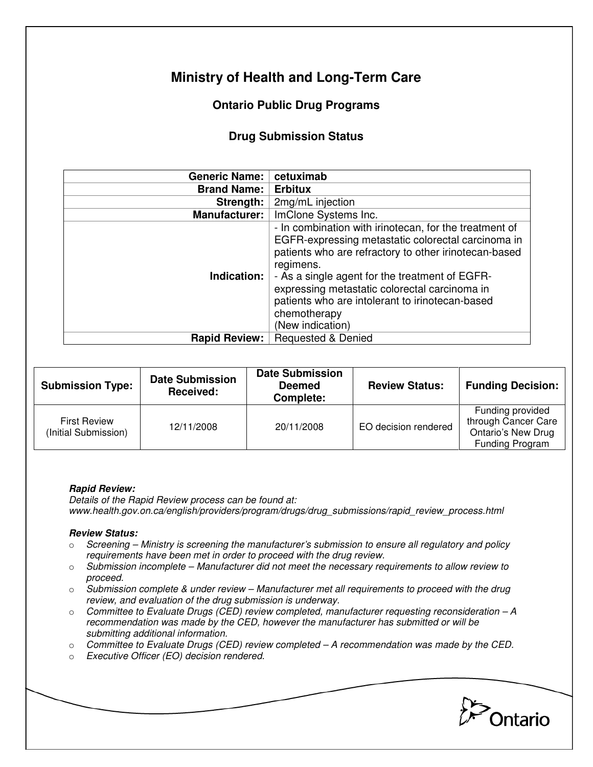# **Ministry of Health and Long-Term Care**

## **Ontario Public Drug Programs**

### **Drug Submission Status**

| <b>Generic Name:</b> | cetuximab                                                                                                                                                                                                                                                                                                                                                                    |  |
|----------------------|------------------------------------------------------------------------------------------------------------------------------------------------------------------------------------------------------------------------------------------------------------------------------------------------------------------------------------------------------------------------------|--|
| <b>Brand Name:</b>   | <b>Erbitux</b>                                                                                                                                                                                                                                                                                                                                                               |  |
| Strength:            | 2mg/mL injection                                                                                                                                                                                                                                                                                                                                                             |  |
| <b>Manufacturer:</b> | ImClone Systems Inc.                                                                                                                                                                                                                                                                                                                                                         |  |
| Indication:          | - In combination with irinotecan, for the treatment of<br>EGFR-expressing metastatic colorectal carcinoma in<br>patients who are refractory to other irinotecan-based<br>regimens.<br>- As a single agent for the treatment of EGFR-<br>expressing metastatic colorectal carcinoma in<br>patients who are intolerant to irinotecan-based<br>chemotherapy<br>(New indication) |  |
| <b>Rapid Review:</b> | <b>Requested &amp; Denied</b>                                                                                                                                                                                                                                                                                                                                                |  |

| <b>Submission Type:</b>                     | <b>Date Submission</b><br><b>Received:</b> | <b>Date Submission</b><br><b>Deemed</b><br>Complete: | <b>Review Status:</b> | <b>Funding Decision:</b>                                                                |
|---------------------------------------------|--------------------------------------------|------------------------------------------------------|-----------------------|-----------------------------------------------------------------------------------------|
| <b>First Review</b><br>(Initial Submission) | 12/11/2008                                 | 20/11/2008                                           | EO decision rendered  | Funding provided<br>through Cancer Care<br><b>Ontario's New Drug</b><br>Funding Program |

#### **Rapid Review:**

Details of the Rapid Review process can be found at: www.health.gov.on.ca/english/providers/program/drugs/drug\_submissions/rapid\_review\_process.html

#### **Review Status:**

- $\circ$  Screening Ministry is screening the manufacturer's submission to ensure all regulatory and policy requirements have been met in order to proceed with the drug review.
- $\circ$  Submission incomplete Manufacturer did not meet the necessary requirements to allow review to proceed.
- $\circ$  Submission complete & under review Manufacturer met all requirements to proceed with the drug review, and evaluation of the drug submission is underway.
- $\circ$  Committee to Evaluate Drugs (CED) review completed, manufacturer requesting reconsideration A recommendation was made by the CED, however the manufacturer has submitted or will be submitting additional information.
- $\circ$  Committee to Evaluate Drugs (CED) review completed  $-A$  recommendation was made by the CED.
- o Executive Officer (EO) decision rendered.

Ontario